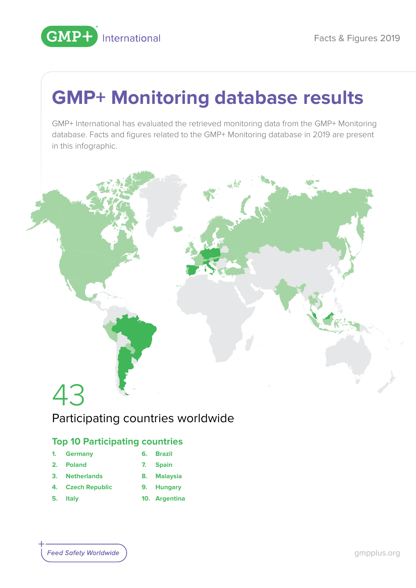

# **GMP+ Monitoring database results**

GMP+ International has evaluated the retrieved monitoring data from the GMP+ Monitoring database. Facts and figures related to the GMP+ Monitoring database in 2019 are present in this infographic.



### Participating countries worldwide

### **Top 10 Participating countries**

- **1. Germany**
- **6. Brazil**
- **2. Poland**
- **7. Spain**
- **3. Netherlands**
	- **8. Malaysia**
- **4. Czech Republic**
- **5. Italy**
- **9. Hungary 10. Argentina**
- **Feed Safety Worldwide**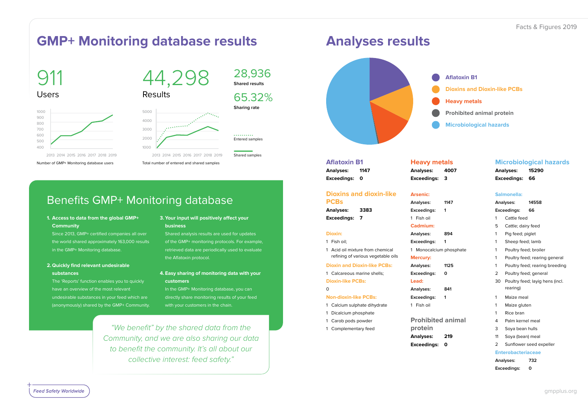### Facts & Figures 2019

**Aflatoxin B1 Dioxins and Dioxin-like PCBs Heavy metals Prohibited animal protein**

**Microbiological hazards**

#### **Aflatoxin B1**

**Analyses: 1147 Exceedings: 0**

#### **Heavy met**

#### **Dioxins and dioxin-like PCBs**

**Analyses: 3383 Exceedings: 7**

**Dioxin:** 1 Fish oil;

 $\Omega$ 

Analyses: **Exceedings: 3**

1 Acid oil mixture from chemical refining of various vegetable oils

**Dioxin and Dioxin-like PCBs:** 1 Calcareous marine shells;

**Dioxin-like PCBs:**

- **Analyses:**
- **Exceedings: 0**
- **Lead:**
- Analyses:
- **Exceedings: 1**
- 1 Fish oil
- **Prohibited protein**
- **Analyses: Exceedings: 0**

**Feed Safety Worldwide** 

**Non-dioxin-like PCBs:** 1 Calcium sulphate dihydrate

1 Dicalcium phosphate 1 Carob pods powder 1 Complementary feed

**Arsenic:** Analyses: **Exceedings: 1** 1 Fish oil

**Analyses:** Exceedings:

#### 1 Monocalcium

#### **Cadmium:**

**Mercury:**

| als:      | <b>Microbiological hazards</b> |                                                          |                               |  |
|-----------|--------------------------------|----------------------------------------------------------|-------------------------------|--|
| 4007      |                                | <b>Analyses:</b>                                         | 15290                         |  |
| 3         |                                | <b>Exceedings:</b>                                       | 66                            |  |
|           |                                |                                                          |                               |  |
|           | Salmonella:                    |                                                          |                               |  |
| 1147      |                                | Analyses:                                                | 14558                         |  |
| 1         | Exceedings:                    |                                                          | 66                            |  |
|           | 1                              | Cattle feed                                              |                               |  |
|           | 5                              | Cattle; dairy feed                                       |                               |  |
| 894       | 1                              | Pig feed; piglet                                         |                               |  |
| 1         | 1                              | Sheep feed; lamb                                         |                               |  |
| phosphate | 1                              | Poultry feed; broiler                                    |                               |  |
|           | 1                              |                                                          | Poultry feed; rearing general |  |
| 1125      | 1                              | Poultry feed; rearing breeding                           |                               |  |
| 0         | 2                              | Poultry feed; general<br>Poultry feed; layig hens (incl. |                               |  |
|           | 30                             |                                                          |                               |  |
| 841       |                                | rearing)                                                 |                               |  |
| 1         | 1                              | Maize meal<br>Maize gluten                               |                               |  |
|           | 1                              |                                                          |                               |  |
|           | 1                              | Rice bran                                                |                               |  |
| animal    | 4                              | Palm kernel meal                                         |                               |  |
|           | 3                              | Soya bean hulls                                          |                               |  |
| 219       | 11                             | Soya (bean) meal                                         |                               |  |
| O         | 2                              |                                                          | Sunflower seed expeller       |  |
|           | <b>Enterobacteriaceae</b>      |                                                          |                               |  |
|           |                                | Analyses:<br>732                                         |                               |  |
|           | Exceedings:<br>0               |                                                          |                               |  |

In the GMP+ Monitoring database, you can directly share monitoring results of your feed with your customers in the chain.

911 Users

# 44,298

28,936

**Shared results**

65.32%

**Sharing rate**



Number of GMP+ Monitoring database users Total number of entered and shared samples

Results



Entered samples

. . . . . . . . . .

Shared samples

### **GMP+ Monitoring database results Analyses results**

### Benefits GMP+ Monitoring database

**1. Access to data from the global GMP+ Community** 

 Since 2013, GMP+ certified companies all over the world shared approximately 163,000 results in the GMP+ Monitoring database.

**2. Quickly find relevant undesirable substances** 

 The 'Reports' function enables you to quickly have an overview of the most relevant undesirable substances in your feed which are (anonymously) shared by the GMP+ Community.

#### **3. Your input will positively affect your business**

 Shared analysis results are used for updates of the GMP+ monitoring protocols. For example, retrieved data are periodically used to evaluate the Aflatoxin protocol.

**4. Easy sharing of monitoring data with your customers**

*"We benefit" by the shared data from the Community, and we are also sharing our data to benefit the community. It's all about our collective interest: feed safety."*